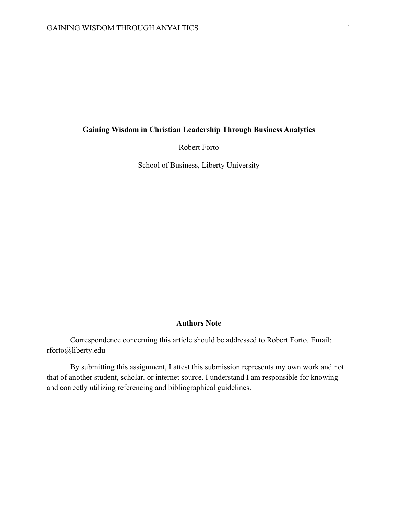# **Gaining Wisdom in Christian Leadership Through Business Analytics**

Robert Forto

School of Business, Liberty University

## **Authors Note**

Correspondence concerning this article should be addressed to Robert Forto. Email: rforto@liberty.edu

By submitting this assignment, I attest this submission represents my own work and not that of another student, scholar, or internet source. I understand I am responsible for knowing and correctly utilizing referencing and bibliographical guidelines.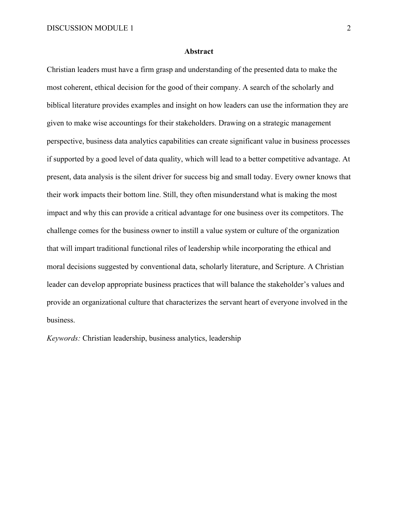### **Abstract**

Christian leaders must have a firm grasp and understanding of the presented data to make the most coherent, ethical decision for the good of their company. A search of the scholarly and biblical literature provides examples and insight on how leaders can use the information they are given to make wise accountings for their stakeholders. Drawing on a strategic management perspective, business data analytics capabilities can create significant value in business processes if supported by a good level of data quality, which will lead to a better competitive advantage. At present, data analysis is the silent driver for success big and small today. Every owner knows that their work impacts their bottom line. Still, they often misunderstand what is making the most impact and why this can provide a critical advantage for one business over its competitors. The challenge comes for the business owner to instill a value system or culture of the organization that will impart traditional functional riles of leadership while incorporating the ethical and moral decisions suggested by conventional data, scholarly literature, and Scripture. A Christian leader can develop appropriate business practices that will balance the stakeholder's values and provide an organizational culture that characterizes the servant heart of everyone involved in the business.

*Keywords:* Christian leadership, business analytics, leadership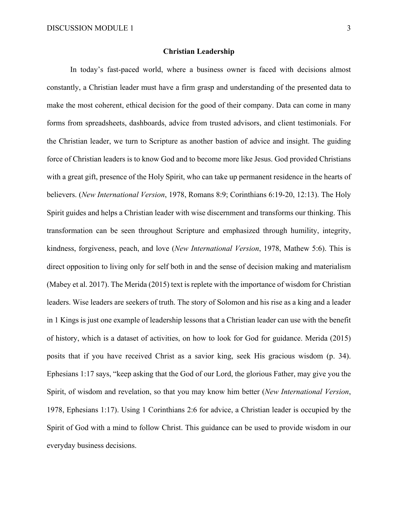### **Christian Leadership**

In today's fast-paced world, where a business owner is faced with decisions almost constantly, a Christian leader must have a firm grasp and understanding of the presented data to make the most coherent, ethical decision for the good of their company. Data can come in many forms from spreadsheets, dashboards, advice from trusted advisors, and client testimonials. For the Christian leader, we turn to Scripture as another bastion of advice and insight. The guiding force of Christian leaders is to know God and to become more like Jesus. God provided Christians with a great gift, presence of the Holy Spirit, who can take up permanent residence in the hearts of believers. (*New International Version*, 1978, Romans 8:9; Corinthians 6:19-20, 12:13). The Holy Spirit guides and helps a Christian leader with wise discernment and transforms our thinking. This transformation can be seen throughout Scripture and emphasized through humility, integrity, kindness, forgiveness, peach, and love (*New International Version*, 1978, Mathew 5:6). This is direct opposition to living only for self both in and the sense of decision making and materialism (Mabey et al. 2017). The Merida (2015) text is replete with the importance of wisdom for Christian leaders. Wise leaders are seekers of truth. The story of Solomon and his rise as a king and a leader in 1 Kings is just one example of leadership lessons that a Christian leader can use with the benefit of history, which is a dataset of activities, on how to look for God for guidance. Merida (2015) posits that if you have received Christ as a savior king, seek His gracious wisdom (p. 34). Ephesians 1:17 says, "keep asking that the God of our Lord, the glorious Father, may give you the Spirit, of wisdom and revelation, so that you may know him better (*New International Version*, 1978, Ephesians 1:17). Using 1 Corinthians 2:6 for advice, a Christian leader is occupied by the Spirit of God with a mind to follow Christ. This guidance can be used to provide wisdom in our everyday business decisions.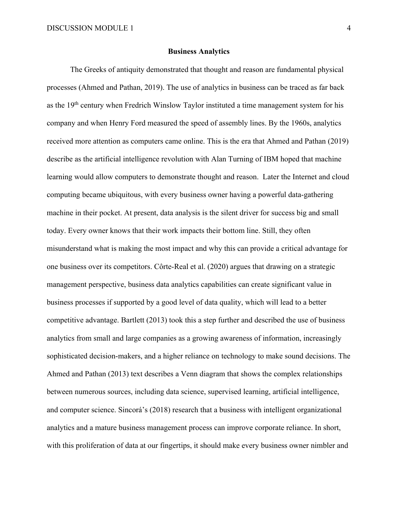### **Business Analytics**

The Greeks of antiquity demonstrated that thought and reason are fundamental physical processes (Ahmed and Pathan, 2019). The use of analytics in business can be traced as far back as the 19<sup>th</sup> century when Fredrich Winslow Taylor instituted a time management system for his company and when Henry Ford measured the speed of assembly lines. By the 1960s, analytics received more attention as computers came online. This is the era that Ahmed and Pathan (2019) describe as the artificial intelligence revolution with Alan Turning of IBM hoped that machine learning would allow computers to demonstrate thought and reason. Later the Internet and cloud computing became ubiquitous, with every business owner having a powerful data-gathering machine in their pocket. At present, data analysis is the silent driver for success big and small today. Every owner knows that their work impacts their bottom line. Still, they often misunderstand what is making the most impact and why this can provide a critical advantage for one business over its competitors. Côrte-Real et al. (2020) argues that drawing on a strategic management perspective, business data analytics capabilities can create significant value in business processes if supported by a good level of data quality, which will lead to a better competitive advantage. Bartlett (2013) took this a step further and described the use of business analytics from small and large companies as a growing awareness of information, increasingly sophisticated decision-makers, and a higher reliance on technology to make sound decisions. The Ahmed and Pathan (2013) text describes a Venn diagram that shows the complex relationships between numerous sources, including data science, supervised learning, artificial intelligence, and computer science. Sincorá's (2018) research that a business with intelligent organizational analytics and a mature business management process can improve corporate reliance. In short, with this proliferation of data at our fingertips, it should make every business owner nimbler and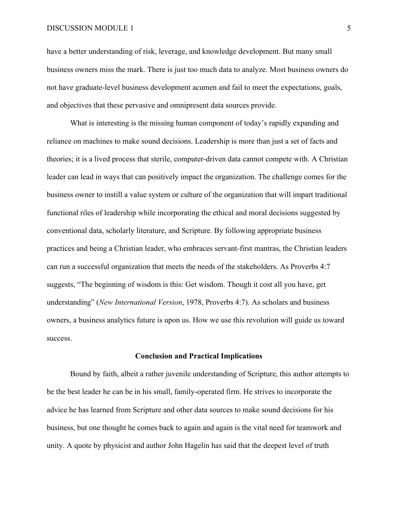have a better understanding of risk, leverage, and knowledge development. But many small business owners miss the mark. There is just too much data to analyze. Most business owners do not have graduate-level business development acumen and fail to meet the expectations, goals, and objectives that these pervasive and omnipresent data sources provide.

What is interesting is the missing human component of today's rapidly expanding and reliance on machines to make sound decisions. Leadership is more than just a set of facts and theories; it is a lived process that sterile, computer-driven data cannot compete with. A Christian leader can lead in ways that can positively impact the organization. The challenge comes for the business owner to instill a value system or culture of the organization that will impart traditional functional riles of leadership while incorporating the ethical and moral decisions suggested by conventional data, scholarly literature, and Scripture. By following appropriate business practices and being a Christian leader, who embraces servant-first mantras, the Christian leaders can run a successful organization that meets the needs of the stakeholders. As Proverbs 4:7 suggests, "The beginning of wisdom is this: Get wisdom. Though it cost all you have, get understanding" (*New International Version*, 1978, Proverbs 4:7). As scholars and business owners, a business analytics future is upon us. How we use this revolution will guide us toward success.

### **Conclusion and Practical Implications**

Bound by faith, albeit a rather juvenile understanding of Scripture, this author attempts to be the best leader he can be in his small, family-operated firm. He strives to incorporate the advice he has learned from Scripture and other data sources to make sound decisions for his business, but one thought he comes back to again and again is the vital need for teamwork and unity. A quote by physicist and author John Hagelin has said that the deepest level of truth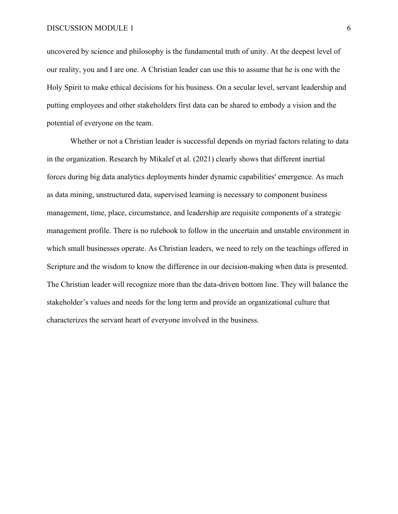uncovered by science and philosophy is the fundamental truth of unity. At the deepest level of our reality, you and I are one. A Christian leader can use this to assume that he is one with the Holy Spirit to make ethical decisions for his business. On a secular level, servant leadership and putting employees and other stakeholders first data can be shared to embody a vision and the potential of everyone on the team.

Whether or not a Christian leader is successful depends on myriad factors relating to data in the organization. Research by Mikalef et al. (2021) clearly shows that different inertial forces during big data analytics deployments hinder dynamic capabilities' emergence. As much as data mining, unstructured data, supervised learning is necessary to component business management, time, place, circumstance, and leadership are requisite components of a strategic management profile. There is no rulebook to follow in the uncertain and unstable environment in which small businesses operate. As Christian leaders, we need to rely on the teachings offered in Scripture and the wisdom to know the difference in our decision-making when data is presented. The Christian leader will recognize more than the data-driven bottom line. They will balance the stakeholder's values and needs for the long term and provide an organizational culture that characterizes the servant heart of everyone involved in the business.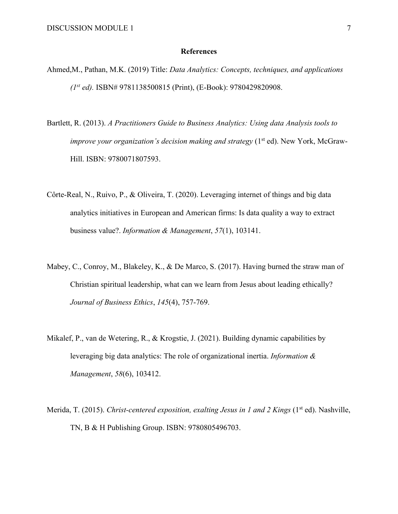#### **References**

- Ahmed,M., Pathan, M.K. (2019) Title: *Data Analytics: Concepts, techniques, and applications (1st ed).* ISBN# 9781138500815 (Print), (E-Book): 9780429820908.
- Bartlett, R. (2013). *A Practitioners Guide to Business Analytics: Using data Analysis tools to improve your organization's decision making and strategy* (1<sup>st</sup> ed). New York, McGraw-Hill. ISBN: 9780071807593.
- Côrte-Real, N., Ruivo, P., & Oliveira, T. (2020). Leveraging internet of things and big data analytics initiatives in European and American firms: Is data quality a way to extract business value?. *Information & Management*, *57*(1), 103141.
- Mabey, C., Conroy, M., Blakeley, K., & De Marco, S. (2017). Having burned the straw man of Christian spiritual leadership, what can we learn from Jesus about leading ethically? *Journal of Business Ethics*, *145*(4), 757-769.
- Mikalef, P., van de Wetering, R., & Krogstie, J. (2021). Building dynamic capabilities by leveraging big data analytics: The role of organizational inertia. *Information & Management*, *58*(6), 103412.
- Merida, T. (2015). *Christ-centered exposition, exalting Jesus in 1 and 2 Kings* (1<sup>st</sup> ed). Nashville, TN, B & H Publishing Group. ISBN: 9780805496703.